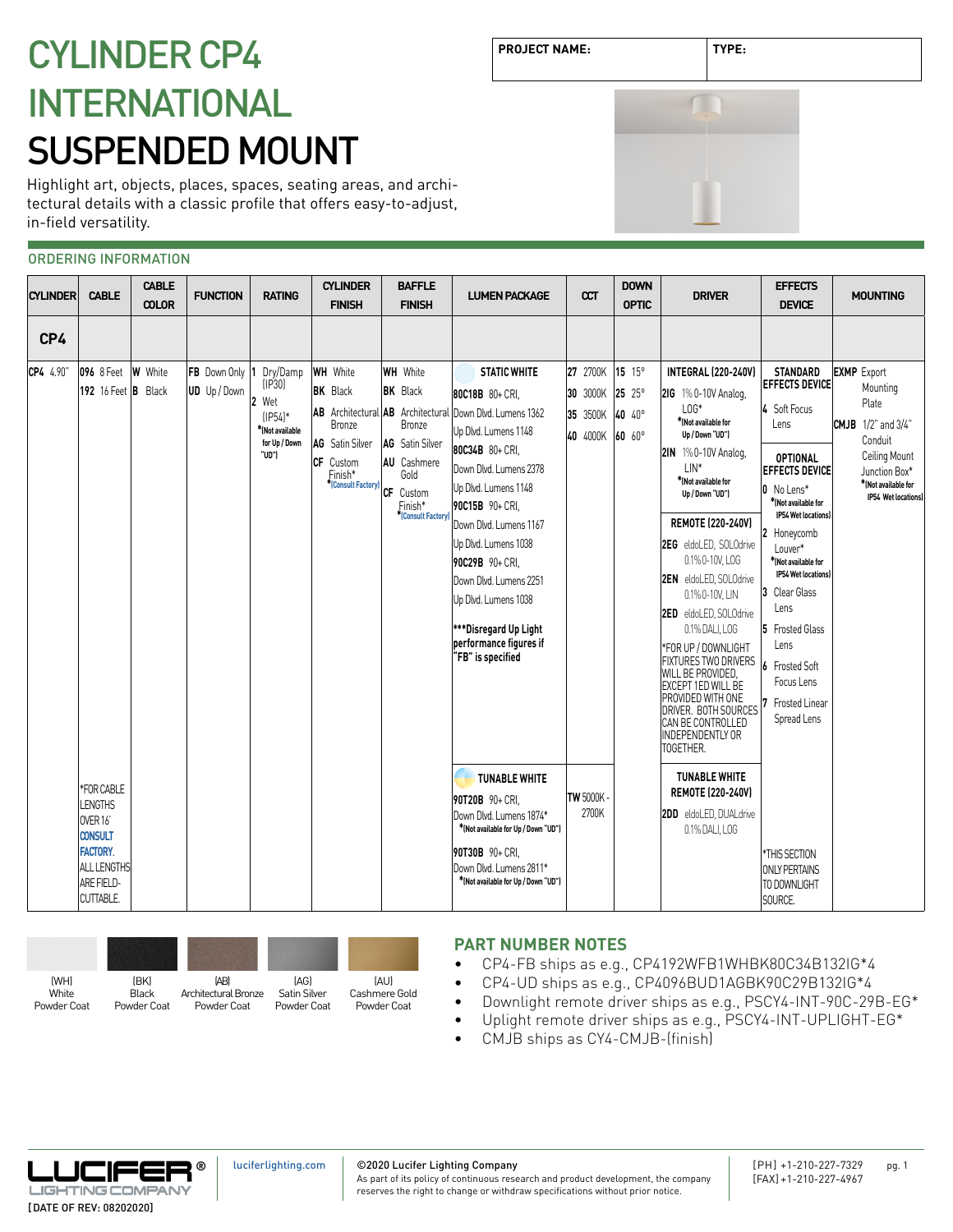# **PROJECT NAME: TYPE:** CYLINDER CP4 INTERNATIONAL SUSPENDED MOUNT

Highlight art, objects, places, spaces, seating areas, and architectural details with a classic profile that offers easy-to-adjust, in-field versatility.

# ORDERING INFORMATION

| <b>CYLINDER</b> | <b>CABLE</b>                                                                                                                        | <b>CABLE</b><br><b>COLOR</b> | <b>FUNCTION</b>                     | <b>RATING</b>                                                                       | <b>CYLINDER</b><br><b>FINISH</b>                                                                                                                        | <b>BAFFLE</b><br><b>FINISH</b>                                                                                                    | <b>LUMEN PACKAGE</b>                                                                                                                                                                                                                                                                                                                                                            | ccT                                          | <b>DOWN</b><br><b>OPTIC</b>                     | <b>DRIVER</b>                                                                                                                                                                                                                                                                                                                                                                                                                                                                                                                                                   | <b>EFFECTS</b><br><b>DEVICE</b>                                                                                                                                                                                                                                                                                                                                                            | <b>MOUNTING</b>                                                                                                                                                 |
|-----------------|-------------------------------------------------------------------------------------------------------------------------------------|------------------------------|-------------------------------------|-------------------------------------------------------------------------------------|---------------------------------------------------------------------------------------------------------------------------------------------------------|-----------------------------------------------------------------------------------------------------------------------------------|---------------------------------------------------------------------------------------------------------------------------------------------------------------------------------------------------------------------------------------------------------------------------------------------------------------------------------------------------------------------------------|----------------------------------------------|-------------------------------------------------|-----------------------------------------------------------------------------------------------------------------------------------------------------------------------------------------------------------------------------------------------------------------------------------------------------------------------------------------------------------------------------------------------------------------------------------------------------------------------------------------------------------------------------------------------------------------|--------------------------------------------------------------------------------------------------------------------------------------------------------------------------------------------------------------------------------------------------------------------------------------------------------------------------------------------------------------------------------------------|-----------------------------------------------------------------------------------------------------------------------------------------------------------------|
| CP4             |                                                                                                                                     |                              |                                     |                                                                                     |                                                                                                                                                         |                                                                                                                                   |                                                                                                                                                                                                                                                                                                                                                                                 |                                              |                                                 |                                                                                                                                                                                                                                                                                                                                                                                                                                                                                                                                                                 |                                                                                                                                                                                                                                                                                                                                                                                            |                                                                                                                                                                 |
| CP4 4.90"       | 096 8 Feet<br>192 16 Feet B Black                                                                                                   | <b>W</b> White               | FB Down Only 1<br><b>UD</b> Up/Down | Dry/Damp<br>[IP30]<br>Wet<br>$[IP54]*$<br>*(Not available<br>for Up / Down<br>"UD") | <b>WH</b> White<br><b>BK</b> Black<br>AB Architectural AB Architectural<br><b>Bronze</b><br>AG Satin Silver<br>CF Custom<br>Finish*<br>Consult Factory) | <b>WH</b> White<br><b>BK</b> Black<br>Bronze<br>AG Satin Silver<br>AU Cashmere<br>Gold<br>CF Custom<br>Finish*<br>Consult Factory | <b>STATIC WHITE</b><br>80C18B 80+ CRI.<br>Down Dlvd. Lumens 1362<br>Up Dlvd. Lumens 1148<br>80C34B 80+ CRI,<br>Down Dlvd. Lumens 2378<br>Up Dlvd. Lumens 1148<br>90C15B 90+ CRI.<br>Down Dlvd. Lumens 1167<br>Up Dlvd. Lumens 1038<br>90C29B 90+ CRI.<br>Down Dlvd. Lumens 2251<br>Up Dlvd. Lumens 1038<br>***Disregard Up Light<br>performance figures if<br>"FB" is specified | 27 2700K<br>30 3000K<br>35 3500K<br>40 4000K | 15 15°<br>$25 \t25^{\circ}$<br>40 40°<br>60 60° | <b>INTEGRAL (220-240V)</b><br>21G 1% 0-10V Analog.<br>$LOS*$<br>*[Not available for<br>Up / Down "UD")<br>2IN 1%0-10V Analog.<br>$LIN^*$<br>*INot available for<br>Up / Down "UD")<br>REMOTE (220-240V)<br>2EG eldoLED, SOLOdrive<br>0.1% 0-10V, LOG<br><b>2EN</b> eldoLED. SOLOdrive<br>0.1% 0-10V, LIN<br><b>2ED</b> eldoLED. SOLOdrive<br>0.1% DALI, LOG<br>*FOR UP / DOWNLIGHT<br>FIXTURES TWO DRIVERS<br>WILL BE PROVIDED.<br><b>EXCEPT 1ED WILL BE</b><br>PROVIDED WITH ONE<br>DRIVER. BOTH SOURCES<br>CAN BE CONTROLLED<br>INDEPENDENTLY OR<br>TOGETHER. | <b>STANDARD</b><br><b>EFFECTS DEVICE</b><br>4 Soft Focus<br>Lens<br><b>OPTIONAL</b><br><b>EFFECTS DEVICE</b><br>0 No Lens*<br>*INot available for<br><b>IP54 Wet locationsl</b><br>2 Honeycomb<br>Louver*<br>*INot available for<br><b>IP54 Wet locationsl</b><br>3 Clear Glass<br>Lens<br><b>5</b> Frosted Glass<br>Lens<br>6 Frosted Soft<br>Focus Lens<br>Frosted Linear<br>Spread Lens | <b>EXMP</b> Export<br>Mounting<br>Plate<br><b>CMJB</b> 1/2" and 3/4"<br>Conduit<br>Ceiling Mount<br>Junction Box*<br>*(Not available for<br>IP54 Wet locations) |
|                 | *FOR CABLE<br><b>LENGTHS</b><br>OVER 16<br><b>CONSULT</b><br><b>FACTORY</b><br>ALL LENGTHS<br><b>ARE FIELD-</b><br><b>CUTTABLE.</b> |                              |                                     |                                                                                     |                                                                                                                                                         |                                                                                                                                   | <b>TUNABLE WHITE</b><br>90T20B 90+ CRI.<br>Down Dlvd. Lumens 1874*<br>*(Not available for Up / Down "UD")<br>90T30B 90+ CRI.<br>Down Dlvd. Lumens 2811*<br>*(Not available for Up / Down "UD")                                                                                                                                                                                  | <b>TW 5000K</b><br>2700K                     |                                                 | <b>TUNABLE WHITE</b><br>REMOTE (220-240V)<br>2DD eldoLED, DUALdrive<br>0.1% DALI, LOG                                                                                                                                                                                                                                                                                                                                                                                                                                                                           | *THIS SECTION<br><b>ONLY PERTAINS</b><br>TO DOWNLIGHT<br>SOURCE.                                                                                                                                                                                                                                                                                                                           |                                                                                                                                                                 |



# **PART NUMBER NOTES**

- CP4-FB ships as e.g., CP4192WFB1WHBK80C34B132IG\*4
- CP4-UD ships as e.g., CP4096BUD1AGBK90C29B132IG\*4
- Downlight remote driver ships as e.g., PSCY4-INT-90C-29B-EG\*
- Uplight remote driver ships as e.g., PSCY4-INT-UPLIGHT-EG\*
- CMJB ships as CY4-CMJB-(finish)



©2020 Lucifer Lighting Company

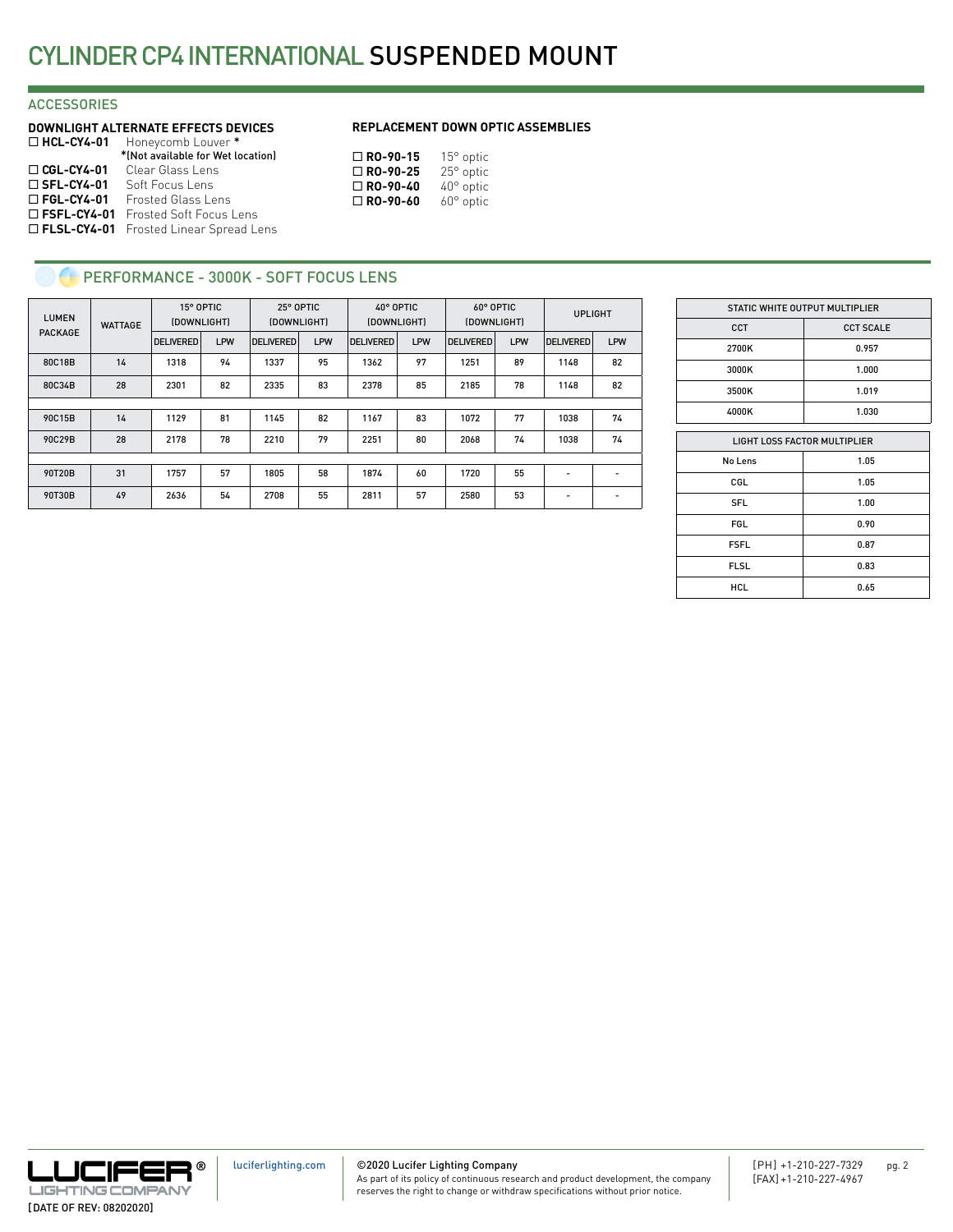## **ACCESSORIES**

|                      | <b>DOWNLIGHT ALTERNATE EFFECTS DEVICES</b>      |
|----------------------|-------------------------------------------------|
| $\Box$ HCL-CY4-01    | Honeycomb Louver *                              |
|                      | *(Not available for Wet location)               |
| $\Box$ CGL-CY4-01    | Clear Glass Lens                                |
| $\square$ SFL-CY4-01 | Soft Focus Lens                                 |
| $\Box$ FGL-CY4-01    | Frosted Glass Lens                              |
| $\Box$ FSFL-CY4-01   | Frosted Soft Focus Lens                         |
|                      | <b>D FLSL-CY4-01</b> Frosted Linear Spread Lens |

#### **REPLACEMENT DOWN OPTIC ASSEMBLIES**

| $\Box$ RO-90-15 | $15^{\circ}$ optic |
|-----------------|--------------------|
| $\Box$ RO-90-25 | 25° optic          |
| $\Box$ RO-90-40 | $40^{\circ}$ optic |
| $\Box$ RO-90-60 | $60^\circ$ optic   |

# **C** PERFORMANCE - 3000K - SOFT FOCUS LENS

| <b>LUMEN</b>   | <b>WATTAGE</b> | 15° OPTIC<br>(DOWNLIGHT) |     | 25° OPTIC<br>(DOWNLIGHT) |            |                  | 40° OPTIC<br>(DOWNLIGHT) | 60° OPTIC<br>(DOWNLIGHT) |     | <b>UPLIGHT</b>   |     |
|----------------|----------------|--------------------------|-----|--------------------------|------------|------------------|--------------------------|--------------------------|-----|------------------|-----|
| <b>PACKAGE</b> |                | <b>DELIVERED</b>         | LPW | <b>DELIVERED</b>         | <b>LPW</b> | <b>DELIVERED</b> | <b>LPW</b>               | <b>DELIVERED</b>         | LPW | <b>DELIVERED</b> | LPW |
| 80C18B         | 14             | 1318                     | 94  | 1337                     | 95         | 1362             | 97                       | 1251                     | 89  | 1148             | 82  |
| 80C34B         | 28             | 2301                     | 82  | 2335                     | 83         | 2378             | 85                       | 2185                     | 78  | 1148             | 82  |
|                |                |                          |     |                          |            |                  |                          |                          |     |                  |     |
| 90C15B         | 14             | 1129                     | 81  | 1145                     | 82         | 1167             | 83                       | 1072                     | 77  | 1038             | 74  |
| 90C29B         | 28             | 2178                     | 78  | 2210                     | 79         | 2251             | 80                       | 2068                     | 74  | 1038             | 74  |
|                |                |                          |     |                          |            |                  |                          |                          |     |                  |     |
| 90T20B         | 31             | 1757                     | 57  | 1805                     | 58         | 1874             | 60                       | 1720                     | 55  | -                |     |
| 90T30B         | 49             | 2636                     | 54  | 2708                     | 55         | 2811             | 57                       | 2580                     | 53  | -                |     |

|                              | STATIC WHITE OUTPUT MULTIPLIER |  |  |
|------------------------------|--------------------------------|--|--|
| <b>CCT</b>                   | <b>CCT SCALE</b>               |  |  |
| 2700K                        | 0.957                          |  |  |
| 3000K                        | 1.000                          |  |  |
| 3500K                        | 1.019                          |  |  |
| 4000K                        | 1.030                          |  |  |
|                              |                                |  |  |
| LIGHT LOSS FACTOR MULTIPLIER |                                |  |  |
| No Lens                      | 1.05                           |  |  |
| CGL                          | 1.05                           |  |  |
|                              |                                |  |  |

| No Lens     | 1.05 |
|-------------|------|
| CGL         | 1.05 |
| <b>SFL</b>  | 1.00 |
| <b>FGL</b>  | 0.90 |
| <b>FSFL</b> | 0.87 |
| <b>FLSL</b> | 0.83 |
| <b>HCL</b>  | 0.65 |

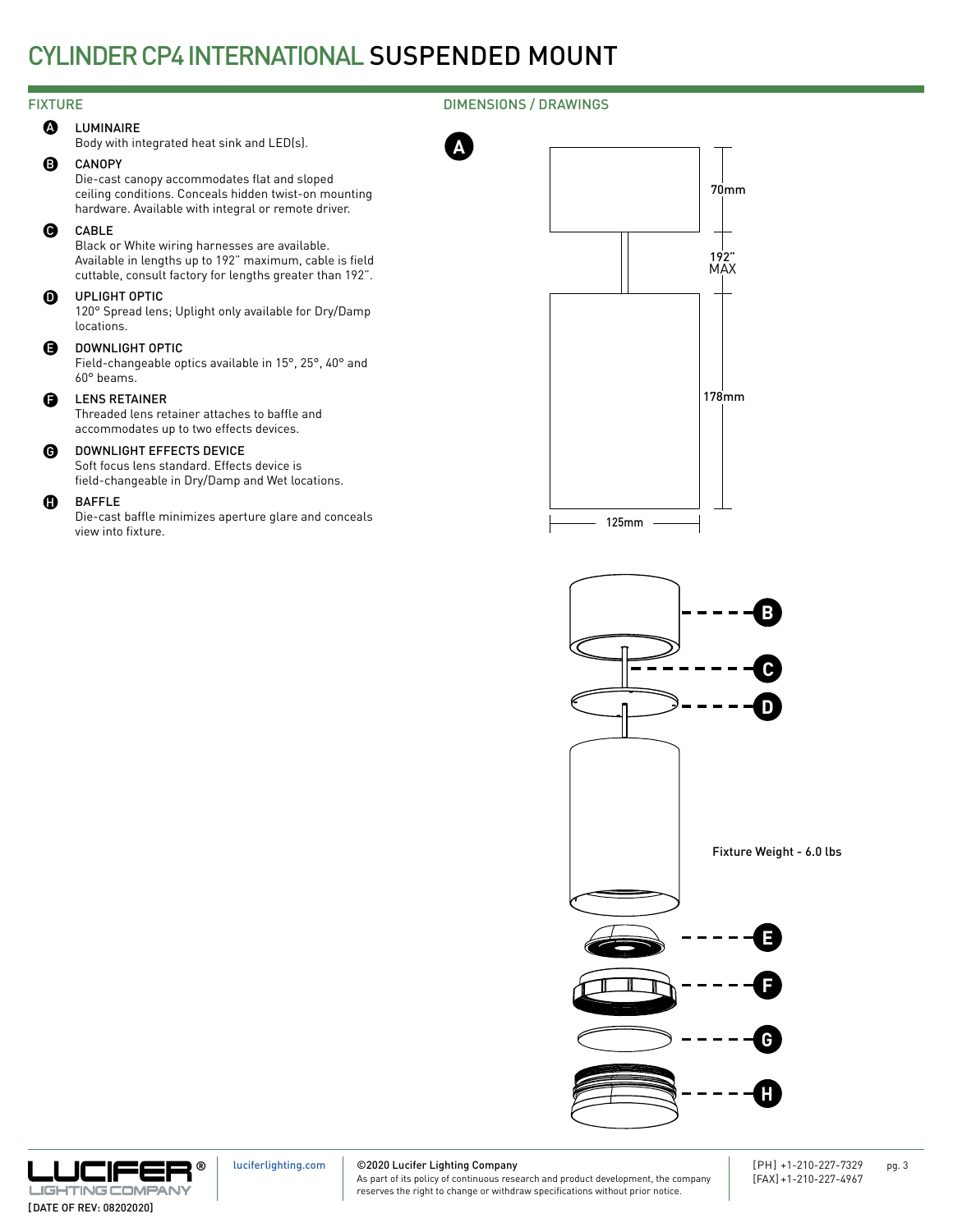**A**

## FIXTURE DIMENSIONS / DRAWINGS

**A** LUMINAIRE

Body with integrated heat sink and LED(s).

#### B CANOPY

Die-cast canopy accommodates flat and sloped ceiling conditions. Conceals hidden twist-on mounting hardware. Available with integral or remote driver.

#### CABLE  $\boldsymbol{\Theta}$

Black or White wiring harnesses are available. Available in lengths up to 192" maximum, cable is field cuttable, consult factory for lengths greater than 192".

#### $\Omega$ UPLIGHT OPTIC

120° Spread lens; Uplight only available for Dry/Damp locations.

#### DOWNLIGHT OPTIC E

Field-changeable optics available in 15°, 25°, 40° and 60° beams.

#### LENS RETAINER F

Threaded lens retainer attaches to baffle and accommodates up to two effects devices.

#### DOWNLIGHT EFFECTS DEVICE  $\bullet$

Soft focus lens standard. Effects device is field-changeable in Dry/Damp and Wet locations.

#### BAFFLE  $\mathbf{G}$

Die-cast baffle minimizes aperture glare and conceals view into fixture.







[luciferlighting.com](http://luciferlighting.com/)

#### ©2020 Lucifer Lighting Company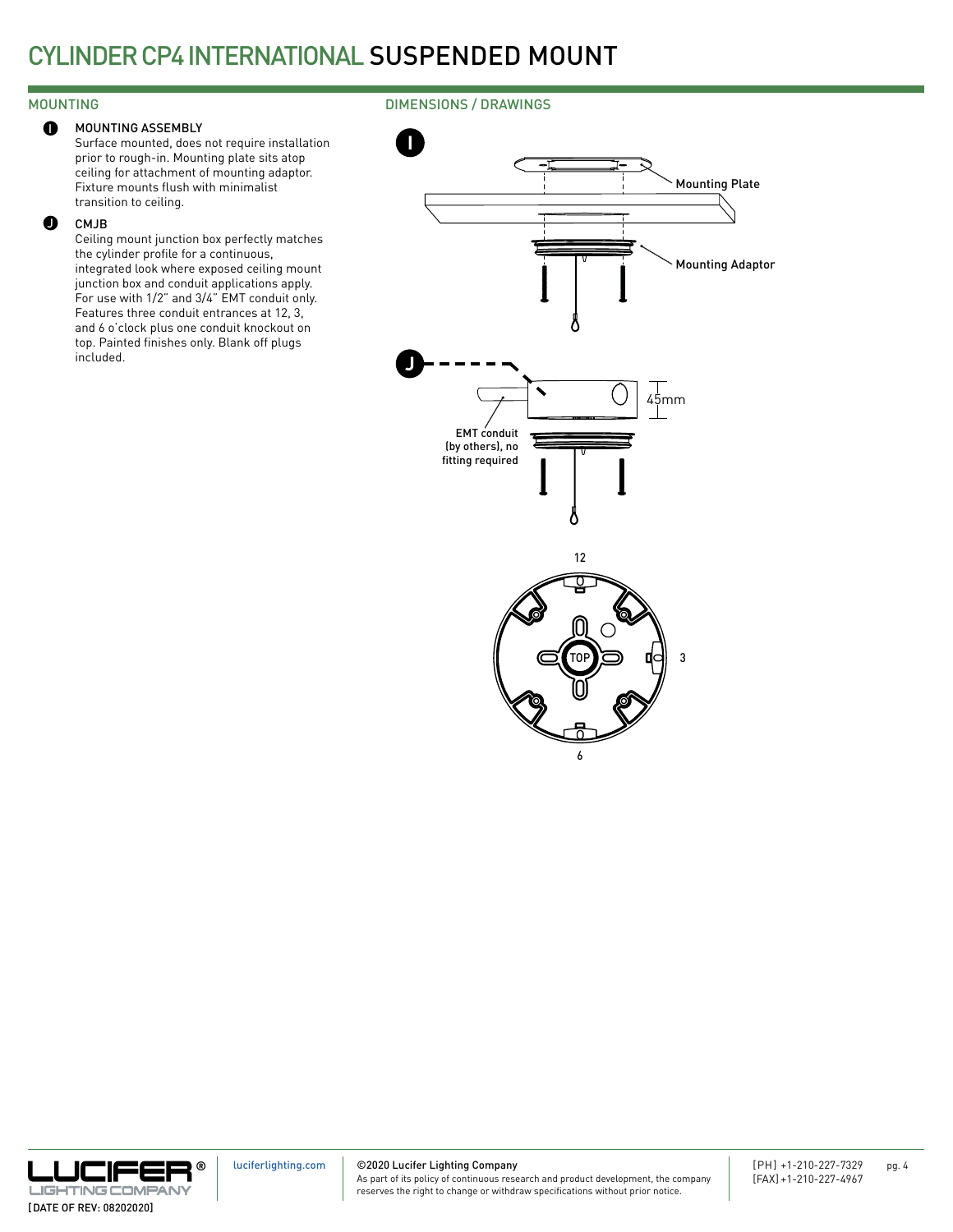#### MOUNTING ASSEMBLY  $\bullet$

## MOUNTING DIMENSIONS / DRAWINGS

Surface mounted, does not require installation prior to rough-in. Mounting plate sits atop ceiling for attachment of mounting adaptor. Fixture mounts flush with minimalist transition to ceiling.

#### CMJB  $\bullet$

Ceiling mount junction box perfectly matches the cylinder profile for a continuous, integrated look where exposed ceiling mount junction box and conduit applications apply. For use with 1/2" and 3/4" EMT conduit only. Features three conduit entrances at 12, 3, and 6 o'clock plus one conduit knockout on top. Painted finishes only. Blank off plugs included.



6



©2020 Lucifer Lighting Company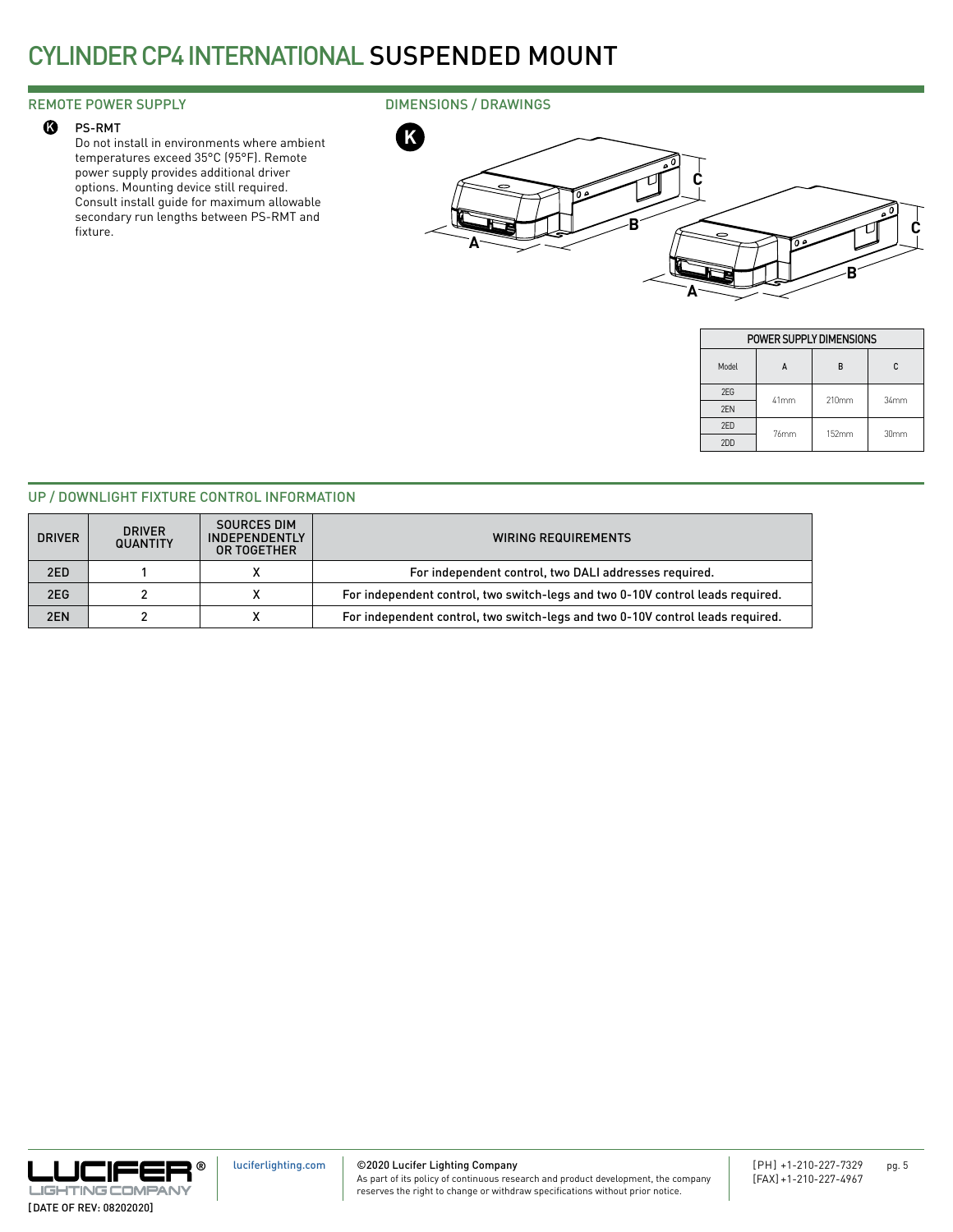#### PS-RMT

Do not install in environments where ambient **K** <sup>K</sup> temperatures exceed 35°C (95°F). Remote power supply provides additional driver options. Mounting device still required. Consult install guide for maximum allowable secondary run lengths between PS-RMT and fixture.

## REMOTE POWER SUPPLY **EXECUTE 20 IMENSIONS** / DRAWINGS



|       | POWER SUPPLY DIMENSIONS |       |                  |  |
|-------|-------------------------|-------|------------------|--|
| Model |                         | R     | C                |  |
| 2EG   | 41mm                    | 210mm | 34mm             |  |
| 2FN   |                         |       |                  |  |
| 2FD   | 76mm                    | 152mm | 30 <sub>mm</sub> |  |
| 2DD   |                         |       |                  |  |

### UP / DOWNLIGHT FIXTURE CONTROL INFORMATION

| <b>DRIVER</b> | <b>DRIVER</b><br><b>QUANTITY</b> | <b>SOURCES DIM</b><br>INDEPENDENTLY<br>OR TOGETHER | <b>WIRING REQUIREMENTS</b>                                                     |
|---------------|----------------------------------|----------------------------------------------------|--------------------------------------------------------------------------------|
| 2ED           |                                  |                                                    | For independent control, two DALI addresses required.                          |
| 2EG           |                                  |                                                    | For independent control, two switch-legs and two 0-10V control leads required. |
| 2EN           |                                  |                                                    | For independent control, two switch-legs and two 0-10V control leads required. |



©2020 Lucifer Lighting Company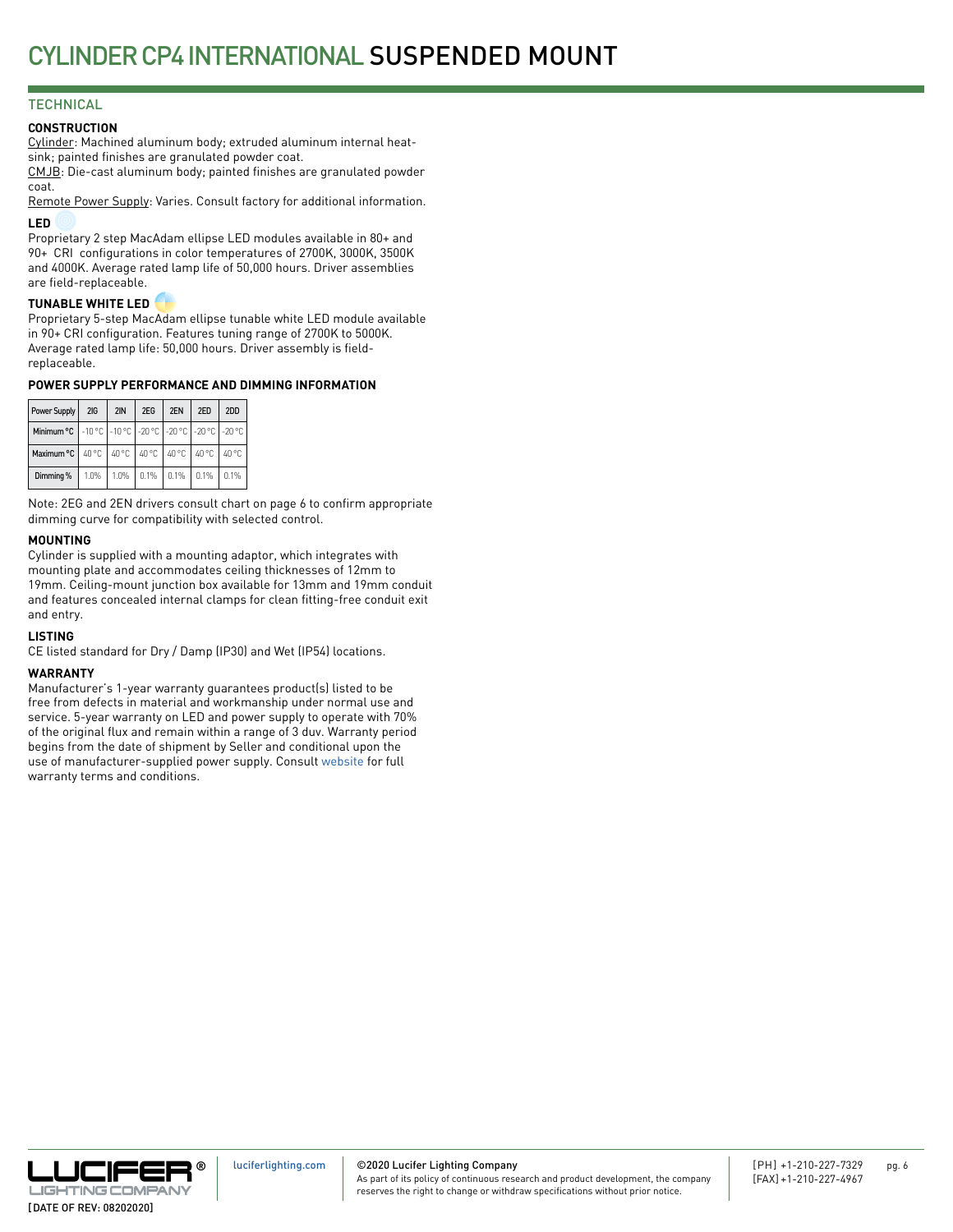# **TECHNICAL**

### **CONSTRUCTION**

Cylinder: Machined aluminum body; extruded aluminum internal heatsink; painted finishes are granulated powder coat.

CMJB: Die-cast aluminum body; painted finishes are granulated powder coat.

Remote Power Supply: Varies. Consult factory for additional information. **LED**

Proprietary 2 step MacAdam ellipse LED modules available in 80+ and 90+ CRI configurations in color temperatures of 2700K, 3000K, 3500K and 4000K. Average rated lamp life of 50,000 hours. Driver assemblies are field-replaceable.

#### **TUNABLE WHITE LED**

Proprietary 5-step MacAdam ellipse tunable white LED module available in 90+ CRI configuration. Features tuning range of 2700K to 5000K. Average rated lamp life: 50,000 hours. Driver assembly is fieldreplaceable.

### **POWER SUPPLY PERFORMANCE AND DIMMING INFORMATION**

| Power Supply   2IG                                               | 2IN | 2EG | 2EN | 2ED                                | 2DD |
|------------------------------------------------------------------|-----|-----|-----|------------------------------------|-----|
| Minimum °C   -10 °C   -10 °C   -20 °C   -20 °C   -20 °C   -20 °C |     |     |     |                                    |     |
| Maximum °C   40 °C   40 °C   40 °C   40 °C   40 °C   40 °C       |     |     |     |                                    |     |
| Dimming %                                                        |     |     |     | 1.0% 1.0% 0.1% 0.1% 0.1% 0.1% 0.1% |     |

Note: 2EG and 2EN drivers consult chart on page 6 to confirm appropriate dimming curve for compatibility with selected control.

### **MOUNTING**

Cylinder is supplied with a mounting adaptor, which integrates with mounting plate and accommodates ceiling thicknesses of 12mm to 19mm. Ceiling-mount junction box available for 13mm and 19mm conduit and features concealed internal clamps for clean fitting-free conduit exit and entry.

#### **LISTING**

CE listed standard for Dry / Damp (IP30) and Wet (IP54) locations.

#### **WARRANTY**

Manufacturer's 1-year warranty guarantees product(s) listed to be free from defects in material and workmanship under normal use and service. 5-year warranty on LED and power supply to operate with 70% of the original flux and remain within a range of 3 duv. Warranty period begins from the date of shipment by Seller and conditional upon the use of manufacturer-supplied power supply. Consult [website](http://luciferlighting.com/Resources/Full-Warranty) for full warranty terms and conditions.